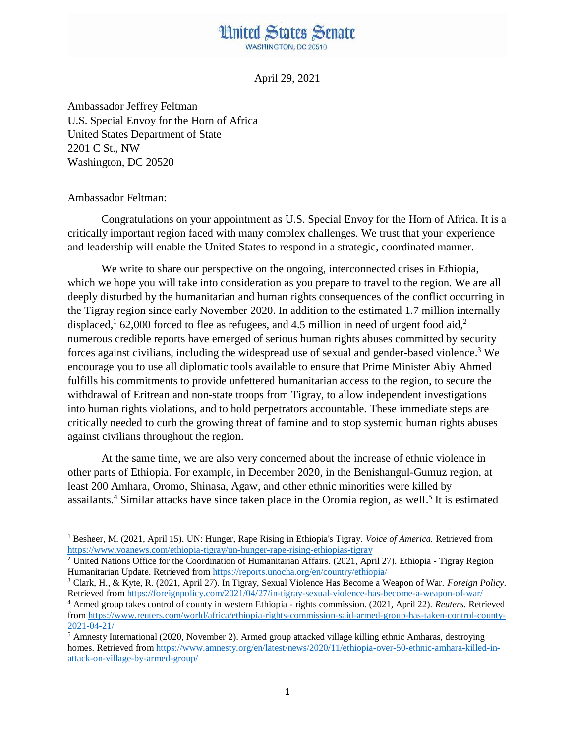## **Hnited States Senate WASHINGTON, DC 20510**

April 29, 2021

Ambassador Jeffrey Feltman U.S. Special Envoy for the Horn of Africa United States Department of State 2201 C St., NW Washington, DC 20520

## Ambassador Feltman:

l

Congratulations on your appointment as U.S. Special Envoy for the Horn of Africa. It is a critically important region faced with many complex challenges. We trust that your experience and leadership will enable the United States to respond in a strategic, coordinated manner.

We write to share our perspective on the ongoing, interconnected crises in Ethiopia, which we hope you will take into consideration as you prepare to travel to the region. We are all deeply disturbed by the humanitarian and human rights consequences of the conflict occurring in the Tigray region since early November 2020. In addition to the estimated 1.7 million internally displaced,<sup>1</sup> 62,000 forced to flee as refugees, and 4.5 million in need of urgent food aid,<sup>2</sup> numerous credible reports have emerged of serious human rights abuses committed by security forces against civilians, including the widespread use of sexual and gender-based violence.<sup>3</sup> We encourage you to use all diplomatic tools available to ensure that Prime Minister Abiy Ahmed fulfills his commitments to provide unfettered humanitarian access to the region, to secure the withdrawal of Eritrean and non-state troops from Tigray, to allow independent investigations into human rights violations, and to hold perpetrators accountable. These immediate steps are critically needed to curb the growing threat of famine and to stop systemic human rights abuses against civilians throughout the region.

At the same time, we are also very concerned about the increase of ethnic violence in other parts of Ethiopia. For example, in December 2020, in the Benishangul-Gumuz region, at least 200 Amhara, Oromo, Shinasa, Agaw, and other ethnic minorities were killed by assailants.<sup>4</sup> Similar attacks have since taken place in the Oromia region, as well.<sup>5</sup> It is estimated

<sup>1</sup> Besheer, M. (2021, April 15). UN: Hunger, Rape Rising in Ethiopia's Tigray. *Voice of America.* Retrieved from <https://www.voanews.com/ethiopia-tigray/un-hunger-rape-rising-ethiopias-tigray>

<sup>&</sup>lt;sup>2</sup> United Nations Office for the Coordination of Humanitarian Affairs. (2021, April 27). Ethiopia - Tigray Region Humanitarian Update. Retrieved fro[m https://reports.unocha.org/en/country/ethiopia/](https://reports.unocha.org/en/country/ethiopia/)

<sup>3</sup> Clark, H., & Kyte, R. (2021, April 27). In Tigray, Sexual Violence Has Become a Weapon of War. *Foreign Policy*. Retrieved from<https://foreignpolicy.com/2021/04/27/in-tigray-sexual-violence-has-become-a-weapon-of-war/>

<sup>4</sup> Armed group takes control of county in western Ethiopia - rights commission. (2021, April 22). *Reuters*. Retrieved from [https://www.reuters.com/world/africa/ethiopia-rights-commission-said-armed-group-has-taken-control-county-](https://www.reuters.com/world/africa/ethiopia-rights-commission-said-armed-group-has-taken-control-county-2021-04-21/)[2021-04-21/](https://www.reuters.com/world/africa/ethiopia-rights-commission-said-armed-group-has-taken-control-county-2021-04-21/)

<sup>&</sup>lt;sup>5</sup> Amnesty International (2020, November 2). Armed group attacked village killing ethnic Amharas, destroying homes. Retrieved fro[m https://www.amnesty.org/en/latest/news/2020/11/ethiopia-over-50-ethnic-amhara-killed-in](https://www.amnesty.org/en/latest/news/2020/11/ethiopia-over-50-ethnic-amhara-killed-in-attack-on-village-by-armed-group/)[attack-on-village-by-armed-group/](https://www.amnesty.org/en/latest/news/2020/11/ethiopia-over-50-ethnic-amhara-killed-in-attack-on-village-by-armed-group/)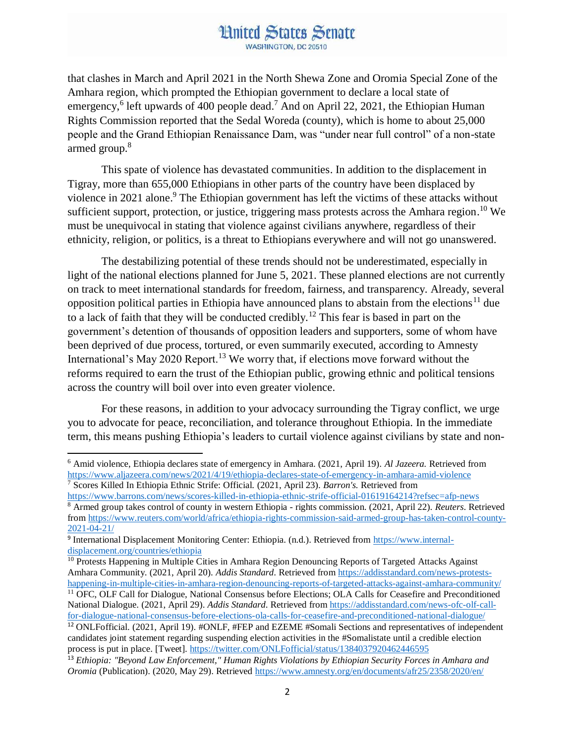## **Hnited States Senate** WASHINGTON DC 20510

that clashes in March and April 2021 in the North Shewa Zone and Oromia Special Zone of the Amhara region, which prompted the Ethiopian government to declare a local state of emergency,<sup>6</sup> left upwards of 400 people dead.<sup>7</sup> And on April 22, 2021, the Ethiopian Human Rights Commission reported that the Sedal Woreda (county), which is home to about 25,000 people and the Grand Ethiopian Renaissance Dam, was "under near full control" of a non-state armed group. 8

This spate of violence has devastated communities. In addition to the displacement in Tigray, more than 655,000 Ethiopians in other parts of the country have been displaced by violence in 2021 alone. <sup>9</sup> The Ethiopian government has left the victims of these attacks without sufficient support, protection, or justice, triggering mass protests across the Amhara region.<sup>10</sup> We must be unequivocal in stating that violence against civilians anywhere, regardless of their ethnicity, religion, or politics, is a threat to Ethiopians everywhere and will not go unanswered.

The destabilizing potential of these trends should not be underestimated, especially in light of the national elections planned for June 5, 2021. These planned elections are not currently on track to meet international standards for freedom, fairness, and transparency. Already, several opposition political parties in Ethiopia have announced plans to abstain from the elections<sup>11</sup> due to a lack of faith that they will be conducted credibly.<sup>12</sup> This fear is based in part on the government's detention of thousands of opposition leaders and supporters, some of whom have been deprived of due process, tortured, or even summarily executed, according to Amnesty International's May 2020 Report.<sup>13</sup> We worry that, if elections move forward without the reforms required to earn the trust of the Ethiopian public, growing ethnic and political tensions across the country will boil over into even greater violence.

For these reasons, in addition to your advocacy surrounding the Tigray conflict, we urge you to advocate for peace, reconciliation, and tolerance throughout Ethiopia. In the immediate term, this means pushing Ethiopia's leaders to curtail violence against civilians by state and non-

 $\overline{a}$ <sup>6</sup> Amid violence, Ethiopia declares state of emergency in Amhara. (2021, April 19). *Al Jazeera.* Retrieved from <https://www.aljazeera.com/news/2021/4/19/ethiopia-declares-state-of-emergency-in-amhara-amid-violence> <sup>7</sup> Scores Killed In Ethiopia Ethnic Strife: Official. (2021, April 23). *Barron's.* Retrieved from

<https://www.barrons.com/news/scores-killed-in-ethiopia-ethnic-strife-official-01619164214?refsec=afp-news>

<sup>8</sup> Armed group takes control of county in western Ethiopia - rights commission. (2021, April 22). *Reuters*. Retrieved from [https://www.reuters.com/world/africa/ethiopia-rights-commission-said-armed-group-has-taken-control-county-](https://www.reuters.com/world/africa/ethiopia-rights-commission-said-armed-group-has-taken-control-county-2021-04-21/)[2021-04-21/](https://www.reuters.com/world/africa/ethiopia-rights-commission-said-armed-group-has-taken-control-county-2021-04-21/)

<sup>&</sup>lt;sup>9</sup> International Displacement Monitoring Center: Ethiopia. (n.d.). Retrieved from [https://www.internal](https://www.internal-displacement.org/countries/ethiopia)[displacement.org/countries/ethiopia](https://www.internal-displacement.org/countries/ethiopia)

<sup>&</sup>lt;sup>10</sup> Protests Happening in Multiple Cities in Amhara Region Denouncing Reports of Targeted Attacks Against Amhara Community. (2021, April 20). *Addis Standard*. Retrieved from [https://addisstandard.com/news-protests](https://addisstandard.com/news-protests-happening-in-multiple-cities-in-amhara-region-denouncing-reports-of-targeted-attacks-against-amhara-community/)[happening-in-multiple-cities-in-amhara-region-denouncing-reports-of-targeted-attacks-against-amhara-community/](https://addisstandard.com/news-protests-happening-in-multiple-cities-in-amhara-region-denouncing-reports-of-targeted-attacks-against-amhara-community/)

<sup>11</sup> OFC, OLF Call for Dialogue, National Consensus before Elections; OLA Calls for Ceasefire and Preconditioned National Dialogue. (2021, April 29). *Addis Standard*. Retrieved from [https://addisstandard.com/news-ofc-olf-call](https://addisstandard.com/news-ofc-olf-call-for-dialogue-national-consensus-before-elections-ola-calls-for-ceasefire-and-preconditioned-national-dialogue/)[for-dialogue-national-consensus-before-elections-ola-calls-for-ceasefire-and-preconditioned-national-dialogue/](https://addisstandard.com/news-ofc-olf-call-for-dialogue-national-consensus-before-elections-ola-calls-for-ceasefire-and-preconditioned-national-dialogue/)

<sup>12</sup> ONLFofficial. (2021, April 19). #ONLF, #FEP and EZEME #Somali Sections and representatives of independent candidates joint statement regarding suspending election activities in the #Somalistate until a credible election process is put in place. [Tweet].<https://twitter.com/ONLFofficial/status/1384037920462446595>

<sup>13</sup> *Ethiopia: "Beyond Law Enforcement," Human Rights Violations by Ethiopian Security Forces in Amhara and Oromia* (Publication). (2020, May 29). Retrieved<https://www.amnesty.org/en/documents/afr25/2358/2020/en/>